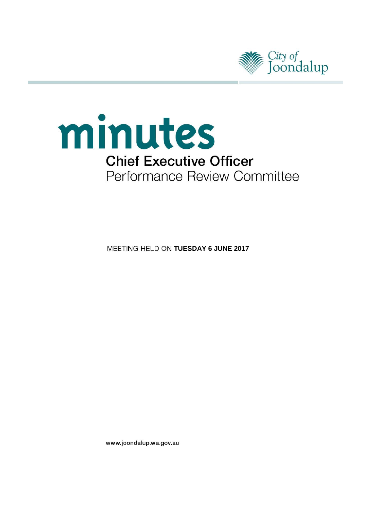



**MEETING HELD ON TUESDAY 6 JUNE 2017** 

www.joondalup.wa.gov.au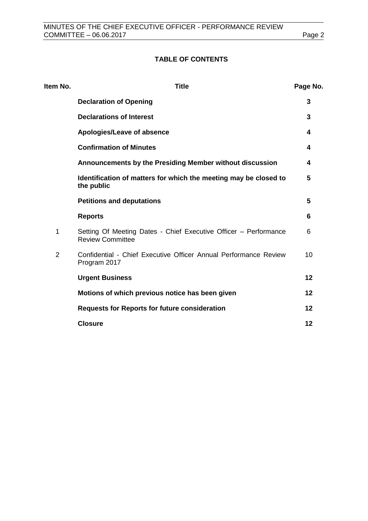# **TABLE OF CONTENTS**

| Item No.       | <b>Title</b>                                                                                | Page No. |
|----------------|---------------------------------------------------------------------------------------------|----------|
|                | <b>Declaration of Opening</b>                                                               | 3        |
|                | <b>Declarations of Interest</b>                                                             | 3        |
|                | Apologies/Leave of absence                                                                  | 4        |
|                | <b>Confirmation of Minutes</b>                                                              | 4        |
|                | Announcements by the Presiding Member without discussion                                    | 4        |
|                | Identification of matters for which the meeting may be closed to<br>the public              | 5        |
|                | <b>Petitions and deputations</b>                                                            | 5        |
|                | <b>Reports</b>                                                                              | 6        |
| 1              | Setting Of Meeting Dates - Chief Executive Officer - Performance<br><b>Review Committee</b> | 6        |
| $\overline{2}$ | Confidential - Chief Executive Officer Annual Performance Review<br>Program 2017            | 10       |
|                | <b>Urgent Business</b>                                                                      | 12       |
|                | Motions of which previous notice has been given                                             | 12       |
|                | <b>Requests for Reports for future consideration</b>                                        | 12       |
|                | <b>Closure</b>                                                                              | 12       |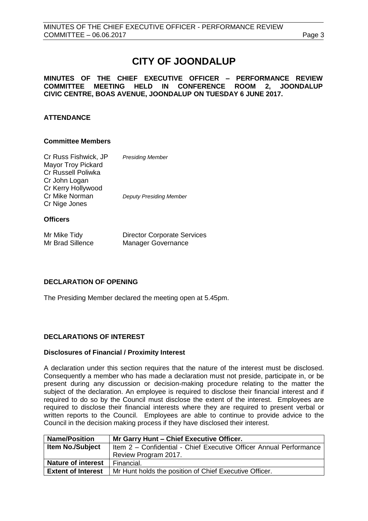# **CITY OF JOONDALUP**

# **MINUTES OF THE CHIEF EXECUTIVE OFFICER – PERFORMANCE REVIEW** MEETING HELD IN CONFERENCE ROOM 2, JOONDALUP **CIVIC CENTRE, BOAS AVENUE, JOONDALUP ON TUESDAY 6 JUNE 2017.**

# **ATTENDANCE**

# **Committee Members**

| Cr Russ Fishwick, JP<br><b>Mayor Troy Pickard</b> | <b>Presiding Member</b>        |
|---------------------------------------------------|--------------------------------|
| <b>Cr Russell Poliwka</b>                         |                                |
| Cr John Logan<br>Cr Kerry Hollywood               |                                |
| Cr Mike Norman                                    | <b>Deputy Presiding Member</b> |
| Cr Nige Jones                                     |                                |
| <b>Officers</b>                                   |                                |

| Mr Mike Tidy     | <b>Director Corporate Services</b> |
|------------------|------------------------------------|
| Mr Brad Sillence | <b>Manager Governance</b>          |

# <span id="page-2-0"></span>**DECLARATION OF OPENING**

The Presiding Member declared the meeting open at 5.45pm.

# <span id="page-2-1"></span>**DECLARATIONS OF INTEREST**

### **Disclosures of Financial / Proximity Interest**

A declaration under this section requires that the nature of the interest must be disclosed. Consequently a member who has made a declaration must not preside, participate in, or be present during any discussion or decision-making procedure relating to the matter the subject of the declaration. An employee is required to disclose their financial interest and if required to do so by the Council must disclose the extent of the interest. Employees are required to disclose their financial interests where they are required to present verbal or written reports to the Council. Employees are able to continue to provide advice to the Council in the decision making process if they have disclosed their interest.

| <b>Name/Position</b>      | Mr Garry Hunt - Chief Executive Officer.                           |  |
|---------------------------|--------------------------------------------------------------------|--|
| <b>Item No./Subject</b>   | Item 2 - Confidential - Chief Executive Officer Annual Performance |  |
|                           | Review Program 2017.                                               |  |
| <b>Nature of interest</b> | Financial.                                                         |  |
| <b>Extent of Interest</b> | Mr Hunt holds the position of Chief Executive Officer.             |  |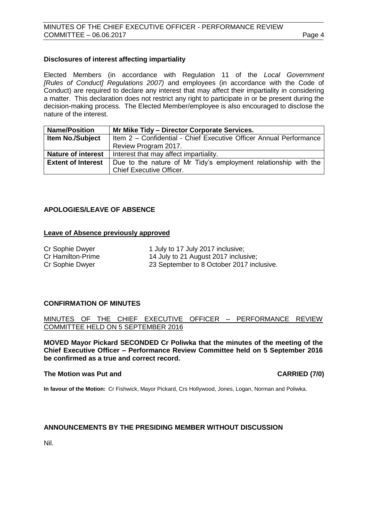# **Disclosures of interest affecting impartiality**

Elected Members (in accordance with Regulation 11 of the *Local Government [Rules of Conduct] Regulations 2007)* and employees (in accordance with the Code of Conduct) are required to declare any interest that may affect their impartiality in considering a matter. This declaration does not restrict any right to participate in or be present during the decision-making process. The Elected Member/employee is also encouraged to disclose the nature of the interest.

| <b>Name/Position</b>      | Mr Mike Tidy - Director Corporate Services.                                                 |  |
|---------------------------|---------------------------------------------------------------------------------------------|--|
| <b>Item No./Subject</b>   | Item 2 - Confidential - Chief Executive Officer Annual Performance                          |  |
|                           | Review Program 2017.                                                                        |  |
| <b>Nature of interest</b> | Interest that may affect impartiality.                                                      |  |
| <b>Extent of Interest</b> | Due to the nature of Mr Tidy's employment relationship with the<br>Chief Executive Officer. |  |

# <span id="page-3-0"></span>**APOLOGIES/LEAVE OF ABSENCE**

### **Leave of Absence previously approved**

| Cr Sophie Dwyer   | 1 July to 17 July 2017 inclusive;         |
|-------------------|-------------------------------------------|
| Cr Hamilton-Prime | 14 July to 21 August 2017 inclusive;      |
| Cr Sophie Dwyer   | 23 September to 8 October 2017 inclusive. |

## <span id="page-3-1"></span>**CONFIRMATION OF MINUTES**

MINUTES OF THE CHIEF EXECUTIVE OFFICER – PERFORMANCE REVIEW COMMITTEE HELD ON 5 SEPTEMBER 2016

**MOVED Mayor Pickard SECONDED Cr Poliwka that the minutes of the meeting of the Chief Executive Officer – Performance Review Committee held on 5 September 2016 be confirmed as a true and correct record.**

### **The Motion was Put and CARRIED (7/0)**

**In favour of the Motion:** Cr Fishwick, Mayor Pickard, Crs Hollywood, Jones, Logan, Norman and Poliwka.

### <span id="page-3-2"></span>**ANNOUNCEMENTS BY THE PRESIDING MEMBER WITHOUT DISCUSSION**

<span id="page-3-3"></span>Nil.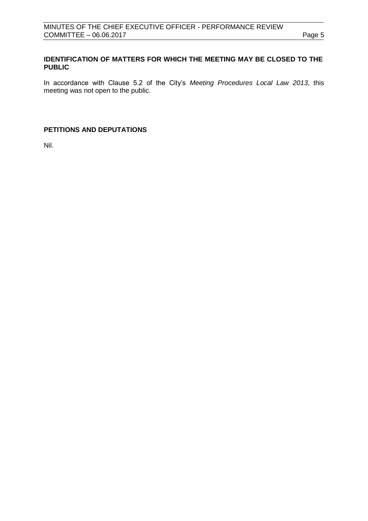# **IDENTIFICATION OF MATTERS FOR WHICH THE MEETING MAY BE CLOSED TO THE PUBLIC**

In accordance with Clause 5.2 of the City's *Meeting Procedures Local Law 2013*, this meeting was not open to the public.

# <span id="page-4-0"></span>**PETITIONS AND DEPUTATIONS**

Nil.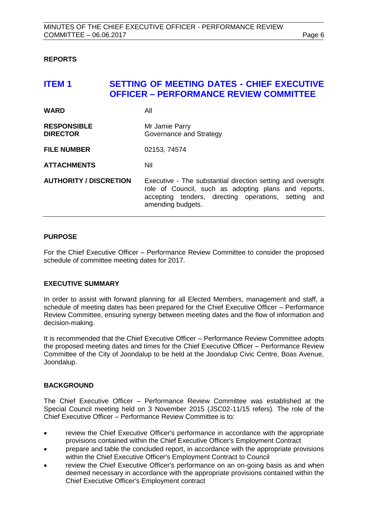# <span id="page-5-0"></span>**REPORTS**

# <span id="page-5-1"></span>**ITEM 1 SETTING OF MEETING DATES - CHIEF EXECUTIVE OFFICER – PERFORMANCE REVIEW COMMITTEE**

| <b>WARD</b>                           | All                                                                                                                                                                                                 |
|---------------------------------------|-----------------------------------------------------------------------------------------------------------------------------------------------------------------------------------------------------|
| <b>RESPONSIBLE</b><br><b>DIRECTOR</b> | Mr Jamie Parry<br>Governance and Strategy                                                                                                                                                           |
| <b>FILE NUMBER</b>                    | 02153, 74574                                                                                                                                                                                        |
| <b>ATTACHMENTS</b>                    | Nil                                                                                                                                                                                                 |
| <b>AUTHORITY / DISCRETION</b>         | Executive - The substantial direction setting and oversight<br>role of Council, such as adopting plans and reports,<br>accepting tenders, directing operations, setting<br>and<br>amending budgets. |

### **PURPOSE**

For the Chief Executive Officer – Performance Review Committee to consider the proposed schedule of committee meeting dates for 2017.

### **EXECUTIVE SUMMARY**

In order to assist with forward planning for all Elected Members, management and staff, a schedule of meeting dates has been prepared for the Chief Executive Officer – Performance Review Committee, ensuring synergy between meeting dates and the flow of information and decision-making.

It is recommended that the Chief Executive Officer – Performance Review Committee adopts the proposed meeting dates and times for the Chief Executive Officer – Performance Review Committee of the City of Joondalup to be held at the Joondalup Civic Centre, Boas Avenue, Joondalup.

### **BACKGROUND**

The Chief Executive Officer – Performance Review Committee was established at the Special Council meeting held on 3 November 2015 (JSC02-11/15 refers). The role of the Chief Executive Officer – Performance Review Committee is to:

- review the Chief Executive Officer's performance in accordance with the appropriate provisions contained within the Chief Executive Officer's Employment Contract
- prepare and table the concluded report, in accordance with the appropriate provisions within the Chief Executive Officer's Employment Contract to Council
- review the Chief Executive Officer's performance on an on-going basis as and when deemed necessary in accordance with the appropriate provisions contained within the Chief Executive Officer's Employment contract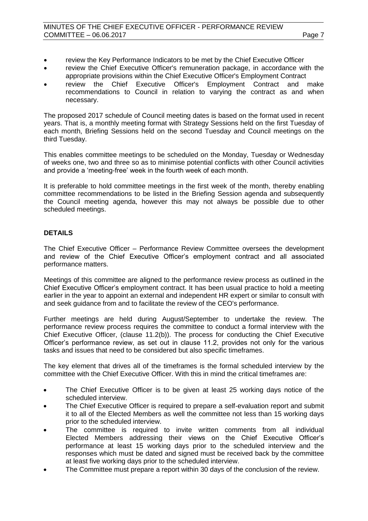# MINUTES OF THE CHIEF EXECUTIVE OFFICER - PERFORMANCE REVIEW COMMITTEE – 06.06.2017 Page 7

- review the Key Performance Indicators to be met by the Chief Executive Officer
- review the Chief Executive Officer's remuneration package, in accordance with the appropriate provisions within the Chief Executive Officer's Employment Contract
- review the Chief Executive Officer's Employment Contract and make recommendations to Council in relation to varying the contract as and when necessary.

The proposed 2017 schedule of Council meeting dates is based on the format used in recent years. That is, a monthly meeting format with Strategy Sessions held on the first Tuesday of each month, Briefing Sessions held on the second Tuesday and Council meetings on the third Tuesday.

This enables committee meetings to be scheduled on the Monday, Tuesday or Wednesday of weeks one, two and three so as to minimise potential conflicts with other Council activities and provide a 'meeting-free' week in the fourth week of each month.

It is preferable to hold committee meetings in the first week of the month, thereby enabling committee recommendations to be listed in the Briefing Session agenda and subsequently the Council meeting agenda, however this may not always be possible due to other scheduled meetings.

# **DETAILS**

The Chief Executive Officer – Performance Review Committee oversees the development and review of the Chief Executive Officer's employment contract and all associated performance matters.

Meetings of this committee are aligned to the performance review process as outlined in the Chief Executive Officer's employment contract. It has been usual practice to hold a meeting earlier in the year to appoint an external and independent HR expert or similar to consult with and seek guidance from and to facilitate the review of the CEO's performance.

Further meetings are held during August/September to undertake the review. The performance review process requires the committee to conduct a formal interview with the Chief Executive Officer, (clause 11.2(b)). The process for conducting the Chief Executive Officer's performance review, as set out in clause 11.2, provides not only for the various tasks and issues that need to be considered but also specific timeframes.

The key element that drives all of the timeframes is the formal scheduled interview by the committee with the Chief Executive Officer. With this in mind the critical timeframes are:

- The Chief Executive Officer is to be given at least 25 working days notice of the scheduled interview.
- The Chief Executive Officer is required to prepare a self-evaluation report and submit it to all of the Elected Members as well the committee not less than 15 working days prior to the scheduled interview.
- The committee is required to invite written comments from all individual Elected Members addressing their views on the Chief Executive Officer's performance at least 15 working days prior to the scheduled interview and the responses which must be dated and signed must be received back by the committee at least five working days prior to the scheduled interview.
- The Committee must prepare a report within 30 days of the conclusion of the review.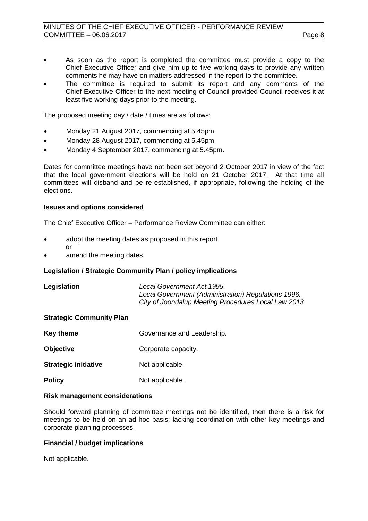- As soon as the report is completed the committee must provide a copy to the Chief Executive Officer and give him up to five working days to provide any written comments he may have on matters addressed in the report to the committee.
- The committee is required to submit its report and any comments of the Chief Executive Officer to the next meeting of Council provided Council receives it at least five working days prior to the meeting.

The proposed meeting day / date / times are as follows:

- Monday 21 August 2017, commencing at 5.45pm.
- Monday 28 August 2017, commencing at 5.45pm.
- Monday 4 September 2017, commencing at 5.45pm.

Dates for committee meetings have not been set beyond 2 October 2017 in view of the fact that the local government elections will be held on 21 October 2017. At that time all committees will disband and be re-established, if appropriate, following the holding of the elections.

## **Issues and options considered**

The Chief Executive Officer – Performance Review Committee can either:

- adopt the meeting dates as proposed in this report or
- amend the meeting dates.

# **Legislation / Strategic Community Plan / policy implications**

| Legislation | Local Government Act 1995.                           |
|-------------|------------------------------------------------------|
|             | Local Government (Administration) Regulations 1996.  |
|             | City of Joondalup Meeting Procedures Local Law 2013. |

### **Strategic Community Plan**

| <b>Key theme</b>            | Governance and Leadership. |
|-----------------------------|----------------------------|
| <b>Objective</b>            | Corporate capacity.        |
| <b>Strategic initiative</b> | Not applicable.            |
| <b>Policy</b>               | Not applicable.            |

### **Risk management considerations**

Should forward planning of committee meetings not be identified, then there is a risk for meetings to be held on an ad-hoc basis; lacking coordination with other key meetings and corporate planning processes.

# **Financial / budget implications**

Not applicable.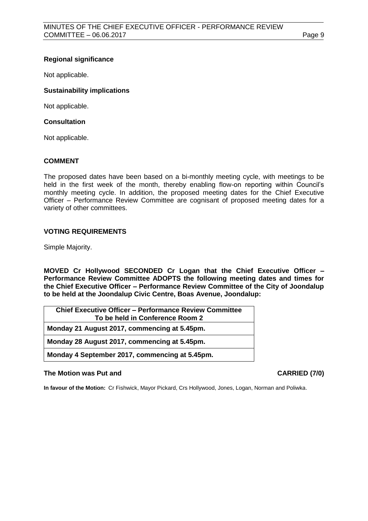# **Regional significance**

Not applicable.

# **Sustainability implications**

Not applicable.

# **Consultation**

Not applicable.

# **COMMENT**

The proposed dates have been based on a bi-monthly meeting cycle, with meetings to be held in the first week of the month, thereby enabling flow-on reporting within Council's monthly meeting cycle. In addition, the proposed meeting dates for the Chief Executive Officer – Performance Review Committee are cognisant of proposed meeting dates for a variety of other committees.

# **VOTING REQUIREMENTS**

Simple Majority.

**MOVED Cr Hollywood SECONDED Cr Logan that the Chief Executive Officer – Performance Review Committee ADOPTS the following meeting dates and times for the Chief Executive Officer – Performance Review Committee of the City of Joondalup to be held at the Joondalup Civic Centre, Boas Avenue, Joondalup:**

| <b>Chief Executive Officer – Performance Review Committee</b> |
|---------------------------------------------------------------|
| To be held in Conference Room 2                               |
| Monday 21 August 2017, commencing at 5.45pm.                  |
| Monday 28 August 2017, commencing at 5.45pm.                  |
| Monday 4 September 2017, commencing at 5.45pm.                |

### **The Motion was Put and CARRIED (7/0)**

**In favour of the Motion:** Cr Fishwick, Mayor Pickard, Crs Hollywood, Jones, Logan, Norman and Poliwka.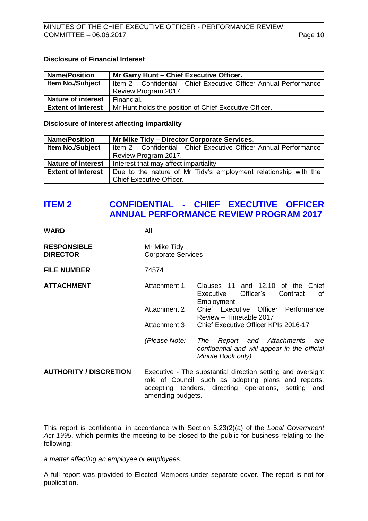# **Disclosure of Financial Interest**

| <b>Name/Position</b>      | Mr Garry Hunt - Chief Executive Officer.                           |  |
|---------------------------|--------------------------------------------------------------------|--|
| <b>Item No./Subject</b>   | Item 2 - Confidential - Chief Executive Officer Annual Performance |  |
|                           | Review Program 2017.                                               |  |
| <b>Nature of interest</b> | Financial.                                                         |  |
| <b>Extent of Interest</b> | Mr Hunt holds the position of Chief Executive Officer.             |  |

**Disclosure of interest affecting impartiality**

| <b>Name/Position</b>      | Mr Mike Tidy - Director Corporate Services.                                                 |  |
|---------------------------|---------------------------------------------------------------------------------------------|--|
| <b>Item No./Subject</b>   | Item 2 - Confidential - Chief Executive Officer Annual Performance                          |  |
|                           | Review Program 2017.                                                                        |  |
| <b>Nature of interest</b> | Interest that may affect impartiality.                                                      |  |
| <b>Extent of Interest</b> | Due to the nature of Mr Tidy's employment relationship with the<br>Chief Executive Officer. |  |

# <span id="page-9-0"></span>**ITEM 2 CONFIDENTIAL - CHIEF EXECUTIVE OFFICER ANNUAL PERFORMANCE REVIEW PROGRAM 2017**

| <b>WARD</b>                           | All                                                                                                                                                                                              |                                                                                                                      |
|---------------------------------------|--------------------------------------------------------------------------------------------------------------------------------------------------------------------------------------------------|----------------------------------------------------------------------------------------------------------------------|
| <b>RESPONSIBLE</b><br><b>DIRECTOR</b> | Mr Mike Tidy<br><b>Corporate Services</b>                                                                                                                                                        |                                                                                                                      |
| <b>FILE NUMBER</b>                    | 74574                                                                                                                                                                                            |                                                                                                                      |
| <b>ATTACHMENT</b>                     | Attachment 1                                                                                                                                                                                     | Clauses 11 and 12.10 of the Chief<br>Officer's<br>Executive<br>Contract<br>0f<br>Employment                          |
|                                       | Attachment 2                                                                                                                                                                                     | Chief Executive Officer Performance<br>Review - Timetable 2017                                                       |
|                                       | Attachment 3                                                                                                                                                                                     | Chief Executive Officer KPIs 2016-17                                                                                 |
|                                       |                                                                                                                                                                                                  | (Please Note: The Report and Attachments<br>are<br>confidential and will appear in the official<br>Minute Book only) |
| <b>AUTHORITY / DISCRETION</b>         | Executive - The substantial direction setting and oversight<br>role of Council, such as adopting plans and reports,<br>accepting tenders, directing operations, setting and<br>amending budgets. |                                                                                                                      |
|                                       |                                                                                                                                                                                                  |                                                                                                                      |

This report is confidential in accordance with Section 5.23(2)(a) of the *Local Government Act 1995*, which permits the meeting to be closed to the public for business relating to the following:

*a matter affecting an employee or employees.*

A full report was provided to Elected Members under separate cover. The report is not for publication.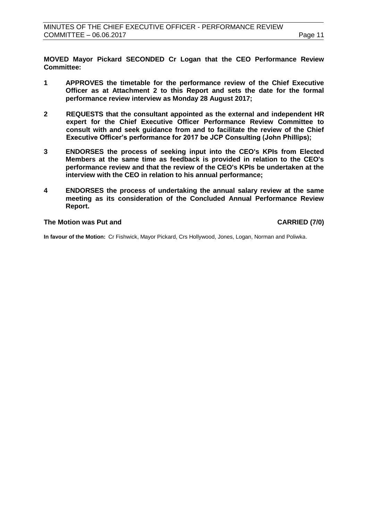**MOVED Mayor Pickard SECONDED Cr Logan that the CEO Performance Review Committee:**

- **1 APPROVES the timetable for the performance review of the Chief Executive Officer as at Attachment 2 to this Report and sets the date for the formal performance review interview as Monday 28 August 2017;**
- **2 REQUESTS that the consultant appointed as the external and independent HR expert for the Chief Executive Officer Performance Review Committee to consult with and seek guidance from and to facilitate the review of the Chief Executive Officer's performance for 2017 be JCP Consulting (John Phillips);**
- **3 ENDORSES the process of seeking input into the CEO's KPIs from Elected Members at the same time as feedback is provided in relation to the CEO's performance review and that the review of the CEO's KPIs be undertaken at the interview with the CEO in relation to his annual performance;**
- **4 ENDORSES the process of undertaking the annual salary review at the same meeting as its consideration of the Concluded Annual Performance Review Report.**

# **The Motion was Put and CARRIED (7/0)**

**In favour of the Motion:** Cr Fishwick, Mayor Pickard, Crs Hollywood, Jones, Logan, Norman and Poliwka.